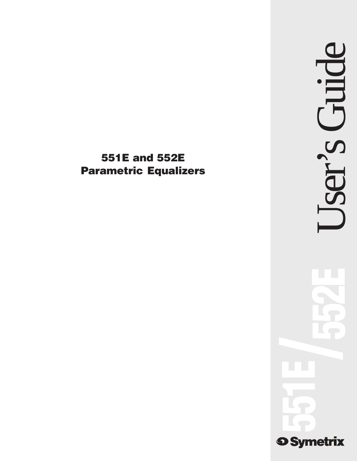# **551E and 552E Parametric Equalizers**

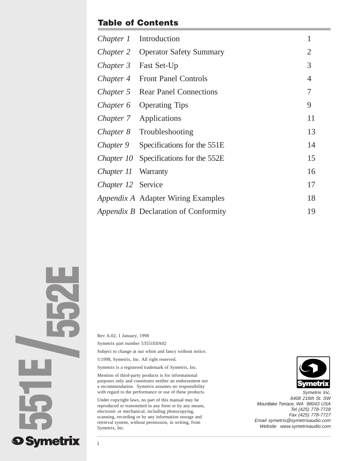# **Table of Contents**

|                    | <i>Chapter 1</i> Introduction                 |                |
|--------------------|-----------------------------------------------|----------------|
|                    | <i>Chapter 2</i> Operator Safety Summary      | 2              |
|                    | Chapter 3 Fast Set-Up                         | 3              |
|                    | Chapter 4 Front Panel Controls                | $\overline{4}$ |
| Chapter 5          | <b>Rear Panel Connections</b>                 | 7              |
|                    | <i>Chapter 6</i> Operating Tips               | 9              |
|                    | <i>Chapter</i> 7 Applications                 | 11             |
|                    | <i>Chapter 8</i> Troubleshooting              | 13             |
|                    | <i>Chapter 9</i> Specifications for the 551E  | 14             |
|                    | <i>Chapter 10</i> Specifications for the 552E | 15             |
| Chapter 11         | Warranty                                      | 16             |
| Chapter 12 Service |                                               | 17             |
|                    | <i>Appendix A</i> Adapter Wiring Examples     | 18             |
|                    | <i>Appendix B</i> Declaration of Conformity   | 19             |

**552E /551E 9 Symetrix** 

Rev A.02, 1 January, 1998

Symetrix part number 53551E0A02

Subject to change at our whim and fancy without notice.

©1998, Symetrix, Inc. All right reserved.

Symetrix is a registered trademark of Symetrix, Inc.

Mention of third-party products is for informational purposes only and constitutes neither an endorsement nor a recommendation. Symetrix assumes no responsibility with regard to the performance or use of these products.

Under copyright laws, no part of this manual may be reproduced or transmitted in any form or by any means, electronic or mechanical, including photocopying, scanning, recording or by any information storage and retrieval system, without permission, in writing, from Symetrix, Inc.



Symetrix Inc. 6408 216th St. SW Mountlake Terrace, WA 98043 USA Tel (425) 778-7728 Fax (425) 778-7727 Email symetrix@symetrixaudio.com Website www.symetrixaudio.com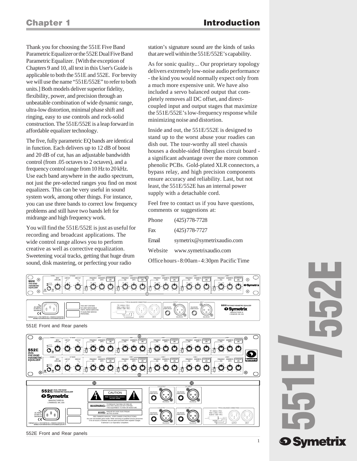Thank you for choosing the 551E Five Band Parametric Equalizer or the 552E Dual Five Band Parametric Equalizer. [With the exception of Chapters 9 and 10, all text in this User's Guide is applicable to both the 551E and 552E. For brevity we will use the name "551E/552E" to refer to both units.] Both models deliver superior fidelity, flexibility, power, and precision through an unbeatable combination of wide dynamic range, ultra-low distortion, minimal phase shift and ringing, easy to use controls and rock-solid construction. The 551E/552E is a leap forward in affordable equalizer technology.

The five, fully parametric EQ bands are identical in function. Each delivers up to 12 dB of boost and 20 dB of cut, has an adjustable bandwidth control (from .05 octaves to 2 octaves), and a frequency control range from 10 Hz to 20 kHz. Use each band anywhere in the audio spectrum, not just the pre-selected ranges you find on most equalizers. This can be very useful in sound system work, among other things. For instance, you can use three bands to correct low frequency problems and still have two bands left for midrange and high frequency work.

You will find the 551E/552E is just as useful for recording and broadcast applications. The wide control range allows you to perform creative as well as corrective equalization. Sweetening vocal tracks, getting that huge drum sound, disk mastering, or perfecting your radio

station's signature sound are the kinds of tasks that are well within the 551E/552E's capability.

As for sonic quality... Our proprietary topology delivers extremely low-noise audio performance - the kind you would normally expect only from a much more expensive unit. We have also included a servo balanced output that completely removes all DC offset, and directcoupled input and output stages that maximize the 551E/552E's low-frequency response while minimizing noise and distortion.

Inside and out, the 551E/552E is designed to stand up to the worst abuse your roadies can dish out. The tour-worthy all steel chassis houses a double-sided fiberglass circuit board a significant advantage over the more common phenolic PCBs. Gold-plated XLR connectors, a bypass relay, and high precision components ensure accuracy and reliability. Last, but not least, the 551E/552E has an internal power supply with a detachable cord.

Feel free to contact us if you have questions, comments or suggestions at:

| Phone                                       | (425) 778-7728             |  |
|---------------------------------------------|----------------------------|--|
| Fax                                         | $(425)778-7727$            |  |
| Email                                       | symetrix@symetrixaudio.com |  |
| Website                                     | www.symetrixaudio.com      |  |
| Office hours - 8:00am - 4:30pm Pacific Time |                            |  |



551E Front and Rear panels



552E Front and Rear panels

# **551E 552E / 9 Symetrix**

1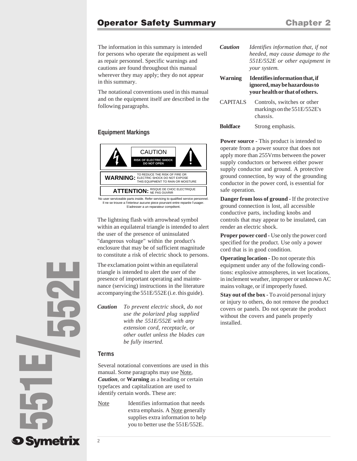# **Operator Safety Summary <b>Chapter 2**

The information in this summary is intended for persons who operate the equipment as well as repair personnel. Specific warnings and cautions are found throughout this manual wherever they may apply; they do not appear in this summary.

The notational conventions used in this manual and on the equipment itself are described in the following paragraphs.

### **Equipment Markings**



S'adresser a un reparateur compétent. Il ne se trouve a l'interieur aucune piece pourvant entre reparée l'usager

The lightning flash with arrowhead symbol within an equilateral triangle is intended to alert the user of the presence of uninsulated "dangerous voltage" within the product's enclosure that may be of sufficient magnitude to constitute a risk of electric shock to persons.

The exclamation point within an equilateral triangle is intended to alert the user of the presence of important operating and maintenance (servicing) instructions in the literature accompanying the 551E/552E (i.e. this guide).

*Caution To prevent electric shock, do not use the polarized plug supplied with the 551E/552E with any extension cord, receptacle, or other outlet unless the blades can be fully inserted.*

### **Terms**

Several notational conventions are used in this manual. Some paragraphs may use Note, *Caution*, or **Warning** as a heading or certain typefaces and capitalization are used to identify certain words. These are:

Note Identifies information that needs extra emphasis. A Note generally supplies extra information to help you to better use the 551E/552E.

| <b>Caution</b>  | Identifies information that, if not<br>heeded, may cause damage to the<br>551E/552E or other equipment in<br>your system. |
|-----------------|---------------------------------------------------------------------------------------------------------------------------|
| <b>Warning</b>  | Identifies information that, if<br>ignored, may be hazardous to<br>your health or that of others.                         |
| <b>CAPITALS</b> | Controls, switches or other<br>markings on the 551E/552E's<br>chassis.                                                    |
| <b>Boldface</b> | Strong emphasis.                                                                                                          |

**Power source -** This product is intended to operate from a power source that does not apply more than 255Vrms between the power supply conductors or between either power supply conductor and ground. A protective ground connection, by way of the grounding conductor in the power cord, is essential for safe operation.

**Danger from loss of ground -** If the protective ground connection is lost, all accessible conductive parts, including knobs and controls that may appear to be insulated, can render an electric shock.

**Proper power cord -** Use only the power cord specified for the product. Use only a power cord that is in good condition.

**Operating location -** Do not operate this equipment under any of the following conditions: explosive atmospheres, in wet locations, in inclement weather, improper or unknown AC mains voltage, or if improperly fused.

**Stay out of the box - To avoid personal injury** or injury to others, do not remove the product covers or panels. Do not operate the product without the covers and panels properly installed.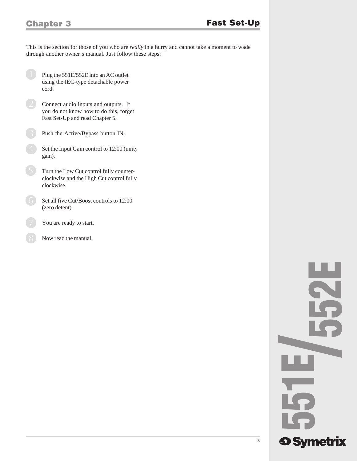This is the section for those of you who are *really* in a hurry and cannot take a moment to wade through another owner's manual. Just follow these steps:

- Plug the 551E/552E into an AC outlet using the IEC-type detachable power cord.  $\bullet$
- Connect audio inputs and outputs. If you do not know how to do this, forget Fast Set-Up and read Chapter 5. 2
- Push the Active/Bypass button IN. 3
- Set the Input Gain control to 12:00 (unity gain). 4
- Turn the Low Cut control fully counterclockwise and the High Cut control fully clockwise. 6
- Set all five Cut/Boost controls to 12:00 (zero detent). 6
- You are ready to start. 7
	- Now read the manual.

8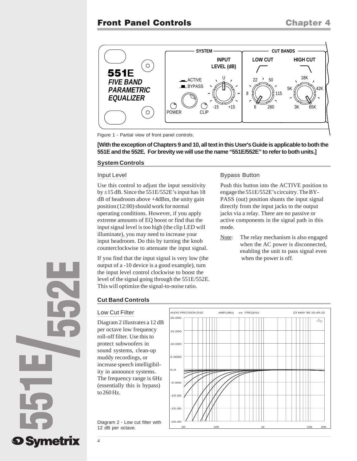

Figure 1 - Partial view of front panel controls.

**[With the exception of Chapters 9 and 10, all text in this User's Guide is applicable to both the 551E and the 552E. For brevity we will use the name "551E/552E" to refer to both units.]**

### **System Controls**

### Input Level

Use this control to adjust the input sensitivity by ±15 dB. Since the 551E/552E's input has 18 dB of headroom above +4dBm, the unity gain position (12:00) should work for normal operating conditions. However, if you apply extreme amounts of EQ boost or find that the input signal level is too high (the clip LED will illuminate), you may need to increase your input headroom. Do this by turning the knob counterclockwise to attenuate the input signal.

If you find that the input signal is very low (the output of a -10 device is a good example), turn the input level control clockwise to boost the level of the signal going through the 551E/552E. This will optimize the signal-to-noise ratio.

### **Cut Band Controls**

### Low Cut Filter

Diagram 2 illustrates a 12 dB per octave low frequency roll-off filter. Use this to protect subwoofers in sound systems, clean-up muddy recordings, or increase speech intelligibility in announce systems. The frequency range is 6Hz (essentially this is bypass) to 260 Hz.

Diagram 2 - Low cut filter with 12 dB per octave.



Push this button into the ACTIVE position to engage the 551E/552E's circuitry. The BY-PASS (out) position shunts the input signal directly from the input jacks to the output jacks via a relay. There are no passive or active components in the signal path in this mode.

Note: The relay mechanism is also engaged when the AC power is disconnected, enabling the unit to pass signal even when the power is off.



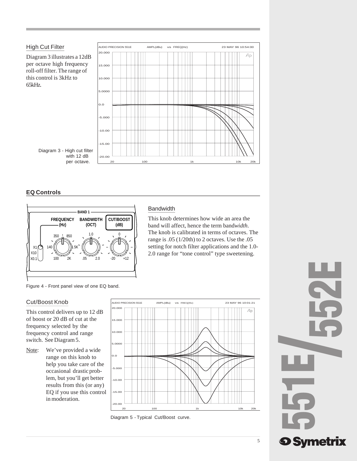

### **EQ Controls**



# **Bandwidth**

This knob determines how wide an area the band will affect, hence the term band*width*. The knob is calibrated in terms of octaves. The range is .05 (1/20th) to 2 octaves. Use the .05 setting for notch filter applications and the 1.0- 2.0 range for "tone control" type sweetening.

Figure 4 - Front panel view of one EQ band.

### Cut/Boost Knob

This control delivers up to 12 dB of boost or 20 dB of cut at the frequency selected by the frequency control and range switch. See Diagram 5.

Note: We've provided a wide range on this knob to help you take care of the occasional drastic problem, but you'll get better results from this (or any) EQ if you use this control in moderation.





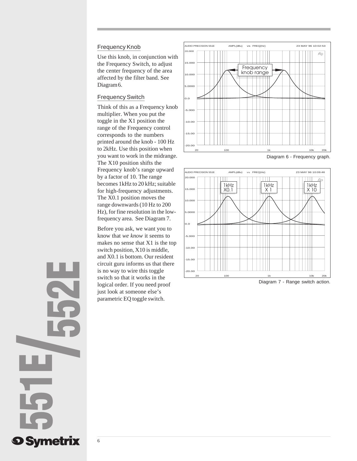### Frequency Knob

Use this knob, in conjunction with the Frequency Switch, to adjust the center frequency of the area affected by the filter band. See Diagram 6.

### Frequency Switch

Think of this as a Frequency knob multiplier. When you put the toggle in the X1 position the range of the Frequency control corresponds to the numbers printed around the knob - 100 Hz to 2kHz. Use this position when you want to work in the midrange. The X10 position shifts the Frequency knob's range upward by a factor of 10. The range becomes 1kHz to 20 kHz; suitable for high-frequency adjustments. The X0.1 position moves the range downwards (10 Hz to 200 Hz), for fine resolution in the lowfrequency area. See Diagram 7.

Before you ask, we want you to know that *we know* it seems to makes no sense that X1 is the top switch position, X10 is middle, and X0.1 is bottom. Our resident circuit guru informs us that there is no way to wire this toggle switch so that it works in the logical order. If you need proof just look at someone else's parametric EQ toggle switch.



Diagram 6 - Frequency graph.

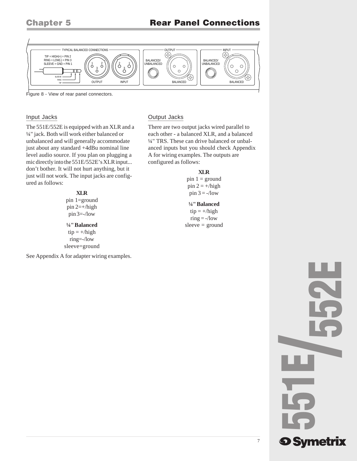

Figure 8 - View of rear panel connectors.

### Input Jacks

The 551E/552E is equipped with an XLR and a ¼" jack. Both will work either balanced or unbalanced and will generally accommodate just about any standard +4dBu nominal line level audio source. If you plan on plugging a mic directly into the 551E/552E's XLR input... don't bother. It will not hurt anything, but it just will not work. The input jacks are configured as follows:

> **XLR** pin 1=ground  $pin 2=+/high$ pin 3=-/low

**¼" Balanced**  $tip = +/high$ ring=-/low sleeve=ground

See Appendix A for adapter wiring examples.

### Output Jacks

There are two output jacks wired parallel to each other - a balanced XLR, and a balanced ¼" TRS. These can drive balanced or unbalanced inputs but you should check Appendix A for wiring examples. The outputs are configured as follows:

### **XLR**

pin  $1 =$  ground pin  $2 = +/\text{high}$ pin  $3 = -/low$ 

**¼" Balanced**  $tip = +/high$  $ring = -/low$ sleeve  $=$  ground

# **551E 552E / Symetrix**

7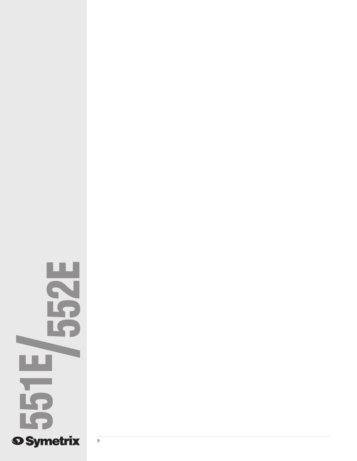

8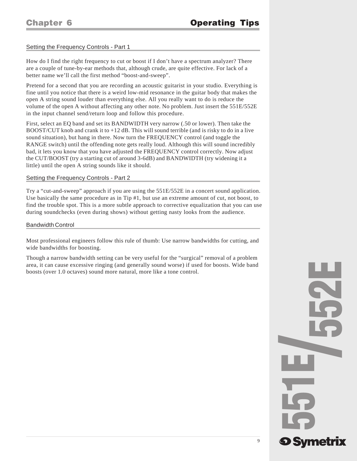### Setting the Frequency Controls - Part 1

How do I find the right frequency to cut or boost if I don't have a spectrum analyzer? There are a couple of tune-by-ear methods that, although crude, are quite effective. For lack of a better name we'll call the first method "boost-and-sweep".

Pretend for a second that you are recording an acoustic guitarist in your studio. Everything is fine until you notice that there is a weird low-mid resonance in the guitar body that makes the open A string sound louder than everything else. All you really want to do is reduce the volume of the open A without affecting any other note. No problem. Just insert the 551E/552E in the input channel send/return loop and follow this procedure.

First, select an EQ band and set its BANDWIDTH very narrow (.50 or lower). Then take the BOOST/CUT knob and crank it to  $+12$  dB. This will sound terrible (and is risky to do in a live sound situation), but hang in there. Now turn the FREQUENCY control (and toggle the RANGE switch) until the offending note gets really loud. Although this will sound incredibly bad, it lets you know that you have adjusted the FREQUENCY control correctly. Now adjust the CUT/BOOST (try a starting cut of around 3-6dB) and BANDWIDTH (try widening it a little) until the open A string sounds like it should.

### Setting the Frequency Controls - Part 2

Try a "cut-and-sweep" approach if you are using the 551E/552E in a concert sound application. Use basically the same procedure as in Tip #1, but use an extreme amount of cut, not boost, to find the trouble spot. This is a more subtle approach to corrective equalization that you can use during soundchecks (even during shows) without getting nasty looks from the audience.

### Bandwidth Control

Most professional engineers follow this rule of thumb: Use narrow bandwidths for cutting, and wide bandwidths for boosting.

Though a narrow bandwidth setting can be very useful for the "surgical" removal of a problem area, it can cause excessive ringing (and generally sound worse) if used for boosts. Wide band boosts (over 1.0 octaves) sound more natural, more like a tone control.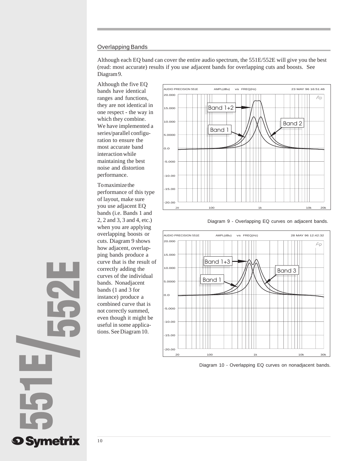### Overlapping Bands

Although each EQ band can cover the entire audio spectrum, the 551E/552E will give you the best (read: most accurate) results if you use adjacent bands for overlapping cuts and boosts. See Diagram 9.

Although the five EQ bands have identical ranges and functions, they are not identical in one respect - the way in which they combine. We have implemented a series/parallel configuration to ensure the most accurate band interaction while maintaining the best noise and distortion performance.

To maximize the performance of this type of layout, make sure you use adjacent EQ bands (i.e. Bands 1 and 2, 2 and 3, 3 and 4, etc.) when you are applying overlapping boosts or cuts. Diagram 9 shows how adjacent, overlapping bands produce a curve that is the result of correctly adding the curves of the individual bands. Nonadjacent bands (1 and 3 for instance) produce a combined curve that is not correctly summed, even though it might be useful in some applications. See Diagram 10.



Diagram 9 - Overlapping EQ curves on adjacent bands.



Diagram 10 - Overlapping EQ curves on nonadjacent bands.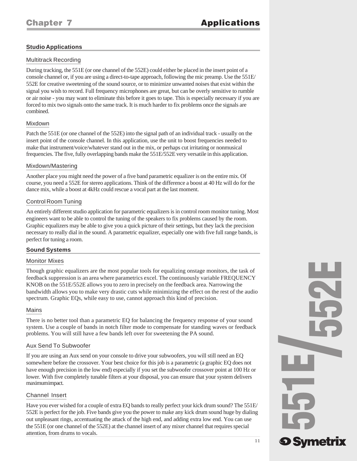### **Studio Applications**

### Multitrack Recording

During tracking, the 551E (or one channel of the 552E) could either be placed in the insert point of a console channel or, if you are using a direct-to-tape approach, following the mic preamp. Use the 551E/ 552E for creative sweetening of the sound source, or to minimize unwanted noises that exist within the signal you wish to record. Full frequency microphones are great, but can be overly sensitive to rumble or air noise - you may want to eliminate this before it goes to tape. This is especially necessary if you are forced to mix two signals onto the same track. It is much harder to fix problems once the signals are combined.

### Mixdown

Patch the 551E (or one channel of the 552E) into the signal path of an individual track - usually on the insert point of the console channel. In this application, use the unit to boost frequencies needed to make that instrument/voice/whatever stand out in the mix, or perhaps cut irritating or nonmusical frequencies. The five, fully overlapping bands make the 551E/552E very versatile in this application.

### Mixdown/Mastering

Another place you might need the power of a five band parametric equalizer is on the entire mix. Of course, you need a 552E for stereo applications. Think of the difference a boost at 40 Hz will do for the dance mix, while a boost at 4kHz could rescue a vocal part at the last moment.

### Control Room Tuning

An entirely different studio application for parametric equalizers is in control room monitor tuning. Most engineers want to be able to control the tuning of the speakers to fix problems caused by the room. Graphic equalizers may be able to give you a quick picture of their settings, but they lack the precision necessary to really dial in the sound. A parametric equalizer, especially one with five full range bands, is perfect for tuning a room.

### **Sound Systems**

### Monitor Mixes

Though graphic equalizers are the most popular tools for equalizing onstage monitors, the task of feedback suppression is an area where parametrics excel. The continuously variable FREQUENCY KNOB on the 551E/552E allows you to zero in precisely on the feedback area. Narrowing the bandwidth allows you to make very drastic cuts while minimizing the effect on the rest of the audio spectrum. Graphic EQs, while easy to use, cannot approach this kind of precision.

### Mains

There is no better tool than a parametric EQ for balancing the frequency response of your sound system. Use a couple of bands in notch filter mode to compensate for standing waves or feedback problems. You will still have a few bands left over for sweetening the PA sound.

### Aux Send To Subwoofer

If you are using an Aux send on your console to drive your subwoofers, you will still need an EQ somewhere before the crossover. Your best choice for this job is a parametric (a graphic EQ does not have enough precision in the low end) especially if you set the subwoofer crossover point at 100 Hz or lower. With five completely tunable filters at your disposal, you can ensure that your system delivers maximum impact.

### Channel Insert

Have you ever wished for a couple of extra EQ bands to really perfect your kick drum sound? The 551E/ 552E is perfect for the job. Five bands give you the power to make any kick drum sound huge by dialing out unpleasant rings, accentuating the attack of the high end, and adding extra low end. You can use the 551E (or one channel of the 552E) at the channel insert of any mixer channel that requires special attention, from drums to vocals.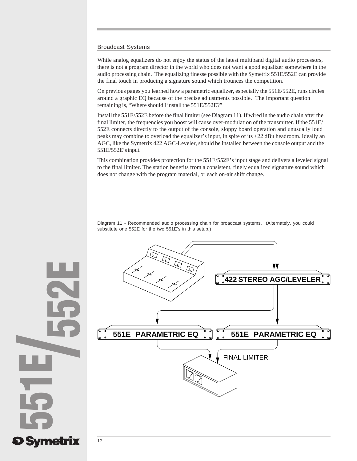### Broadcast Systems

While analog equalizers do not enjoy the status of the latest multiband digital audio processors, there is not a program director in the world who does not want a good equalizer somewhere in the audio processing chain. The equalizing finesse possible with the Symetrix 551E/552E can provide the final touch in producing a signature sound which trounces the competition.

On previous pages you learned how a parametric equalizer, especially the 551E/552E, runs circles around a graphic EQ because of the precise adjustments possible. The important question remaining is, "Where should I install the 551E/552E?"

Install the 551E/552E before the final limiter (see Diagram 11). If wired in the audio chain after the final limiter, the frequencies you boost will cause over-modulation of the transmitter. If the 551E/ 552E connects directly to the output of the console, sloppy board operation and unusually loud peaks may combine to overload the equalizer's input, in spite of its +22 dBu headroom. Ideally an AGC, like the Symetrix 422 AGC-Leveler, should be installed between the console output and the 551E/552E's input.

This combination provides protection for the 551E/552E's input stage and delivers a leveled signal to the final limiter. The station benefits from a consistent, finely equalized signature sound which does not change with the program material, or each on-air shift change.

Diagram 11 - Recommended audio processing chain for broadcast systems. (Alternately, you could substitute one 552E for the two 551E's in this setup.)

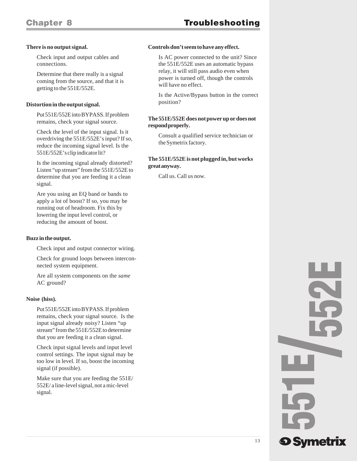### **There is no output signal.**

Check input and output cables and connections.

Determine that there really is a signal coming from the source, and that it is getting to the 551E/552E.

### **Distortion in the output signal.**

Put 551E/552E into BYPASS. If problem remains, check your signal source.

Check the level of the input signal. Is it overdriving the 551E/552E's input? If so, reduce the incoming signal level. Is the 551E/552E's clip indicator lit?

Is the incoming signal already distorted? Listen "up stream" from the 551E/552E to determine that you are feeding it a clean signal.

Are you using an EQ band or bands to apply a lot of boost? If so, you may be running out of headroom. Fix this by lowering the input level control, or reducing the amount of boost.

### **Buzz in the output.**

Check input and output connector wiring.

Check for ground loops between interconnected system equipment.

Are all system components on the *same* AC ground?

### **Noise (hiss).**

Put 551E/552E into BYPASS. If problem remains, check your signal source. Is the input signal already noisy? Listen "up stream" from the 551E/552E to determine that you are feeding it a clean signal.

Check input signal levels and input level control settings. The input signal may be too low in level. If so, boost the incoming signal (if possible).

Make sure that you are feeding the 551E/ 552E/ a line-level signal, not a mic-level signal.

### **Controls don't seem to have any effect.**

Is AC power connected to the unit? Since the 551E/552E uses an automatic bypass relay, it will still pass audio even when power is turned off, though the controls will have no effect.

Is the Active/Bypass button in the correct position?

### **The 551E/552E does not power up or does not respond properly.**

Consult a qualified service technician or the Symetrix factory.

### **The 551E/552E is not plugged in, but works great anyway.**

Call us. Call us now.

# **551E 552E / 9 Symetrix**

13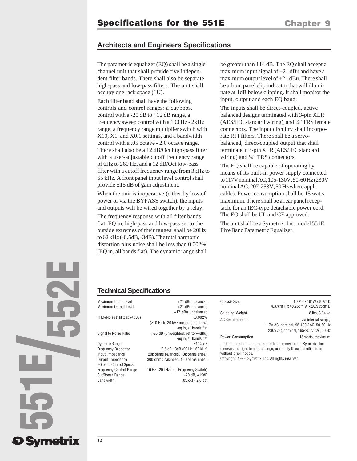## **Architects and Engineers Specifications**

The parametric equalizer (EQ) shall be a single channel unit that shall provide five independent filter bands. There shall also be separate high-pass and low-pass filters. The unit shall occupy one rack space (1U).

Each filter band shall have the following controls and control ranges: a cut/boost control with a -20 dB to  $+12$  dB range, a frequency sweep control with a 100 Hz - 2kHz range, a frequency range multiplier switch with X10, X1, and X0.1 settings, and a bandwidth control with a .05 octave - 2.0 octave range. There shall also be a 12 dB/Oct high-pass filter with a user-adjustable cutoff frequency range of 6Hz to 260 Hz, and a 12 dB/Oct low-pass filter with a cutoff frequency range from 3kHz to 65 kHz. A front panel input level control shall provide  $\pm 15$  dB of gain adjustment.

When the unit is inoperative (either by loss of power or via the BYPASS switch), the inputs and outputs will be wired together by a relay.

The frequency response with all filter bands flat, EQ in, high-pass and low-pass set to the outside extremes of their ranges, shall be 20Hz to 62 kHz (-0.5dB, -3dB). The total harmonic distortion plus noise shall be less than 0.002% (EQ in, all bands flat). The dynamic range shall be greater than 114 dB. The EQ shall accept a maximum input signal of +21 dBu and have a maximum output level of +21 dBu. There shall be a front panel clip indicator that will illuminate at 1dB below clipping. It shall monitor the input, output and each EQ band.

The inputs shall be direct-coupled, active balanced designs terminated with 3-pin XLR (AES/IEC standard wiring), and ¼" TRS female connectors. The input circuitry shall incorporate RFI filters. There shall be a servobalanced, direct-coupled output that shall terminate in 3-pin XLR (AES/IEC standard wiring) and  $\frac{1}{4}$ " TRS connectors.

The EQ shall be capable of operating by means of its built-in power supply connected to 117V nominal AC, 105-130V, 50-60 Hz (230V nominal AC, 207-253V, 50 Hz where applicable). Power consumption shall be 15 watts maximum. There shall be a rear panel receptacle for an IEC-type detachable power cord. The EQ shall be UL and CE approved.

The unit shall be a Symetrix, Inc. model 551E Five Band Parametric Equalizer.

**551E 552E / 9 Symetrix** 

# **Technical Specifications**

| Maximum Input Level            | +21 dBu balanced                       | <b>Chassis Size</b>    |
|--------------------------------|----------------------------------------|------------------------|
| Maximum Output Level           | +21 dBu balanced                       |                        |
|                                | +17 dBu unbalanced                     | Shipping Weight        |
| THD+Noise (1kHz at +4dBu)      | $< 0.002\%$                            |                        |
|                                | (<10 Hz to 30 kHz measurement bw)      | <b>AC Requirements</b> |
|                                | -eq in, all bands flat                 |                        |
| Signal to Noise Ratio          | >96 dB (unweighted, ref to +4dBu)      |                        |
|                                | -eq in, all bands flat                 | Power Consumption      |
| Dynamic Range                  | $>114$ dB                              | In the interest of con |
| <b>Frequency Response</b>      | $-0.5$ dB, $-3$ dB (20 Hz $-62$ kHz)   | reserves the right to  |
| Input Impedance                | 20k ohms balanced. 10k ohms unbal.     | without prior notice.  |
| Output Impedance               | 300 ohms balanced, 150 ohms unbal.     | Copyright, 1998, Syn   |
| EQ band Control Specs:         |                                        |                        |
| <b>Frequency Control Range</b> | 10 Hz - 20 kHz (inc. Frequency Switch) |                        |
| Cut/Boost Range                | $-20$ dB. $+12$ dB                     |                        |
| <b>Bandwidth</b>               | .05 oct - 2.0 oct                      |                        |

| Chassis Size                                                                                                                                                     | 1.72"H x 19" W x 8.25" D<br>4.37cm H x 48.26cm W x 20.955cm D                                         |  |
|------------------------------------------------------------------------------------------------------------------------------------------------------------------|-------------------------------------------------------------------------------------------------------|--|
| Shipping Weight                                                                                                                                                  | 8 lbs, 3.64 kg                                                                                        |  |
| AC Requirements                                                                                                                                                  | via internal supply<br>117V AC, nominal, 95-130V AC, 50-60 Hz<br>230V AC, nominal, 165-255V AA, 50 Hz |  |
| Power Consumption                                                                                                                                                | 15 watts, maximum                                                                                     |  |
| In the interest of continuous product improvement, Symetrix, Inc.<br>reserves the right to alter, change, or modify these specifications<br>without prior potice |                                                                                                       |  |

98, Symetrix, Inc. All rights reserved.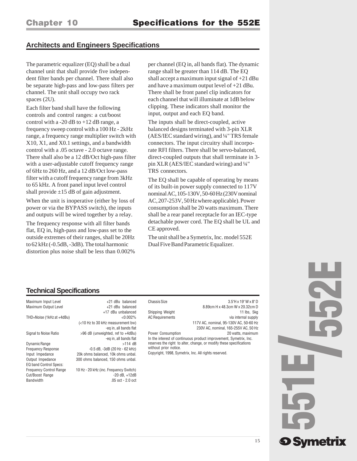## **Architects and Engineers Specifications**

The parametric equalizer (EQ) shall be a dual channel unit that shall provide five independent filter bands per channel. There shall also be separate high-pass and low-pass filters per channel. The unit shall occupy two rack spaces (2U).

Each filter band shall have the following controls and control ranges: a cut/boost control with a -20 dB to  $+12$  dB range, a frequency sweep control with a 100 Hz - 2kHz range, a frequency range multiplier switch with X10, X1, and X0.1 settings, and a bandwidth control with a .05 octave - 2.0 octave range. There shall also be a 12 dB/Oct high-pass filter with a user-adjustable cutoff frequency range of 6Hz to 260 Hz, and a 12 dB/Oct low-pass filter with a cutoff frequency range from 3kHz to 65 kHz. A front panel input level control shall provide  $\pm 15$  dB of gain adjustment.

When the unit is inoperative (either by loss of power or via the BYPASS switch), the inputs and outputs will be wired together by a relay.

The frequency response with all filter bands flat, EQ in, high-pass and low-pass set to the outside extremes of their ranges, shall be 20Hz to 62 kHz (-0.5dB, -3dB). The total harmonic distortion plus noise shall be less than 0.002%

per channel (EQ in, all bands flat). The dynamic range shall be greater than 114 dB. The EQ shall accept a maximum input signal of +21 dBu and have a maximum output level of +21 dBu. There shall be front panel clip indicators for each channel that will illuminate at 1dB below clipping. These indicators shall monitor the input, output and each EQ band.

The inputs shall be direct-coupled, active balanced designs terminated with 3-pin XLR (AES/IEC standard wiring), and ¼" TRS female connectors. The input circuitry shall incorporate RFI filters. There shall be servo-balanced, direct-coupled outputs that shall terminate in 3 pin XLR (AES/IEC standard wiring) and ¼" TRS connectors.

The EQ shall be capable of operating by means of its built-in power supply connected to 117V nominal AC, 105-130V, 50-60 Hz (230V nominal AC, 207-253V, 50 Hz where applicable). Power consumption shall be 20 watts maximum. There shall be a rear panel receptacle for an IEC-type detachable power cord. The EQ shall be UL and CE approved.

The unit shall be a Symetrix, Inc. model 552E Dual Five Band Parametric Equalizer.

## **Technical Specifications**

| Maximum Input Level            | +21 dBu balanced                       |
|--------------------------------|----------------------------------------|
| Maximum Output Level           | +21 dBu balanced                       |
|                                | +17 dBu unbalanced                     |
| THD+Noise (1kHz at +4dBu)      | $< 0.002\%$                            |
|                                | (<10 Hz to 30 kHz measurement bw)      |
|                                | -eq in, all bands flat                 |
| Signal to Noise Ratio          | >96 dB (unweighted, ref to +4dBu)      |
|                                | -eq in, all bands flat                 |
| Dynamic Range                  | $>114$ dB                              |
| <b>Frequency Response</b>      | $-0.5$ dB, $-3$ dB (20 Hz $-62$ kHz)   |
| Input Impedance                | 20k ohms balanced, 10k ohms unbal.     |
| Output Impedance               | 300 ohms balanced, 150 ohms unbal.     |
| <b>EQ band Control Specs:</b>  |                                        |
| <b>Frequency Control Range</b> | 10 Hz - 20 kHz (inc. Frequency Switch) |
| Cut/Boost Range                | $-20$ dB. $+12$ dB                     |
| Bandwidth                      | .05 oct - 2.0 oct                      |

Chassis Size 3.5"H x 19" W x 8" D 8.89cm H x 48.3cm W x 20.32cm D Shipping Weight **11** lbs, 5kg AC Requirements via internal supply 117V AC, nominal, 95-130V AC, 50-60 Hz 230V AC, nominal, 165-255V AC, 50 Hz Power Consumption 20 watts, maximum In the interest of continuous product improvement, Symetrix, Inc. reserves the right to alter, change, or modify these specifications without prior notice. Copyright, 1998, Symetrix, Inc. All rights reserved.

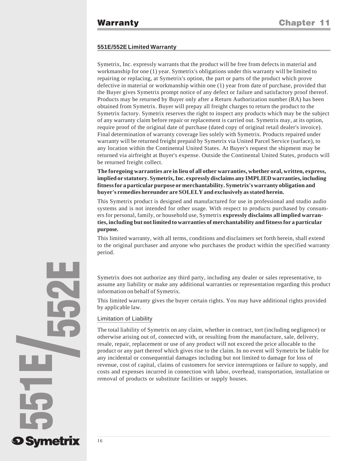### **551E/552E Limited Warranty**

Symetrix, Inc. expressly warrants that the product will be free from defects in material and workmanship for one (1) year. Symetrix's obligations under this warranty will be limited to repairing or replacing, at Symetrix's option, the part or parts of the product which prove defective in material or workmanship within one (1) year from date of purchase, provided that the Buyer gives Symetrix prompt notice of any defect or failure and satisfactory proof thereof. Products may be returned by Buyer only after a Return Authorization number (RA) has been obtained from Symetrix. Buyer will prepay all freight charges to return the product to the Symetrix factory. Symetrix reserves the right to inspect any products which may be the subject of any warranty claim before repair or replacement is carried out. Symetrix may, at its option, require proof of the original date of purchase (dated copy of original retail dealer's invoice). Final determination of warranty coverage lies solely with Symetrix. Products repaired under warranty will be returned freight prepaid by Symetrix via United Parcel Service (surface), to any location within the Continental United States. At Buyer's request the shipment may be returned via airfreight at Buyer's expense. Outside the Continental United States, products will be returned freight collect.

**The foregoing warranties are in lieu of all other warranties, whether oral, written, express, implied or statutory. Symetrix, Inc. expressly disclaims any IMPLIED warranties, including fitness for a particular purpose or merchantability. Symetrix's warranty obligation and buyer's remedies hereunder are SOLELY and exclusively as stated herein.**

This Symetrix product is designed and manufactured for use in professional and studio audio systems and is not intended for other usage. With respect to products purchased by consumers for personal, family, or household use, Symetrix **expressly disclaims all implied warranties, including but not limited to warranties of merchantability and fitness for a particular purpose.**

This limited warranty, with all terms, conditions and disclaimers set forth herein, shall extend to the original purchaser and anyone who purchases the product within the specified warranty period.

Symetrix does not authorize any third party, including any dealer or sales representative, to assume any liability or make any additional warranties or representation regarding this product information on behalf of Symetrix.

This limited warranty gives the buyer certain rights. You may have additional rights provided by applicable law.

Limitation of Liability

The total liability of Symetrix on any claim, whether in contract, tort (including negligence) or otherwise arising out of, connected with, or resulting from the manufacture, sale, delivery, resale, repair, replacement or use of any product will not exceed the price allocable to the product or any part thereof which gives rise to the claim. In no event will Symetrix be liable for any incidental or consequential damages including but not limited to damage for loss of revenue, cost of capital, claims of customers for service interruptions or failure to supply, and costs and expenses incurred in connection with labor, overhead, transportation, installation or removal of products or substitute facilities or supply houses.

**551E 552E /**

**9 Symetrix**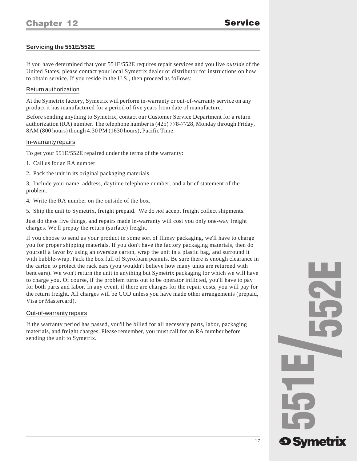# **Service**

### **Servicing the 551E/552E**

If you have determined that your 551E/552E requires repair services and you live *outside* of the United States, please contact your local Symetrix dealer or distributor for instructions on how to obtain service. If you reside in the U.S., then proceed as follows:

### Return authorization

At the Symetrix factory, Symetrix will perform in-warranty or out-of-warranty service on any product it has manufactured for a period of five years from date of manufacture.

Before sending anything to Symetrix, contact our Customer Service Department for a return authorization (RA) number. The telephone number is (425) 778-7728, Monday through Friday, 8AM (800 hours) though 4:30 PM (1630 hours), Pacific Time.

### In-warranty repairs

To get your 551E/552E repaired under the terms of the warranty:

- 1. Call us for an RA number.
- 2. Pack the unit in its original packaging materials.

3. Include your name, address, daytime telephone number, and a brief statement of the problem.

- 4. Write the RA number on the outside of the box.
- 5. Ship the unit to Symetrix, freight prepaid. We do *not* accept freight collect shipments.

Just do these five things, and repairs made in-warranty will cost you only one-way freight charges. We'll prepay the return (surface) freight.

If you choose to send us your product in some sort of flimsy packaging, we'll have to charge you for proper shipping materials. If you don't have the factory packaging materials, then do yourself a favor by using an oversize carton, wrap the unit in a plastic bag, and surround it with bubble-wrap. Pack the box full of Styrofoam peanuts. Be sure there is enough clearance in the carton to protect the rack ears (you wouldn't believe how many units are returned with bent ears). We won't return the unit in anything but Symetrix packaging for which we will have to charge you. Of course, if the problem turns out to be operator inflicted, you'll have to pay for both parts and labor. In any event, if there are charges for the repair costs, you will pay for the return freight. All charges will be COD unless you have made other arrangements (prepaid, Visa or Mastercard).

### Out-of-warranty repairs

If the warranty period has passed, you'll be billed for all necessary parts, labor, packaging materials, and freight charges. Please remember, you must call for an RA number before sending the unit to Symetrix.

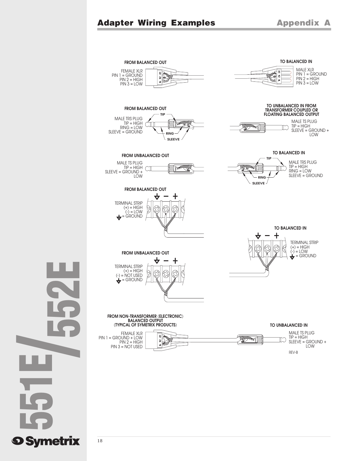# **Adapter Wiring Examples Appendix A**

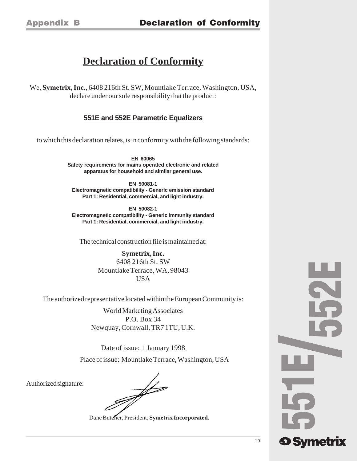# **Declaration of Conformity**

We, **Symetrix, Inc.**, 6408 216th St. SW, Mountlake Terrace, Washington, USA, declare under our sole responsibility that the product:

# **551E and 552E Parametric Equalizers**

to which this declaration relates, is in conformity with the following standards:

**EN 60065 Safety requirements for mains operated electronic and related apparatus for household and similar general use.**

**EN 50081-1 Electromagnetic compatibility - Generic emission standard Part 1: Residential, commercial, and light industry.**

**EN 50082-1 Electromagnetic compatibility - Generic immunity standard Part 1: Residential, commercial, and light industry.**

The technical construction file is maintained at:

**Symetrix, Inc.** 6408 216th St. SW Mountlake Terrace, WA, 98043 USA

The authorized representative located within the European Community is:

World Marketing Associates P.O. Box 34 Newquay, Cornwall, TR7 1TU, U.K.

Date of issue: 1 January 1998 Place of issue: Mountlake Terrace, Washington, USA

Authorized signature:

and the contract of the contract of

Dane Butcher, President, **Symetrix Incorporated**.